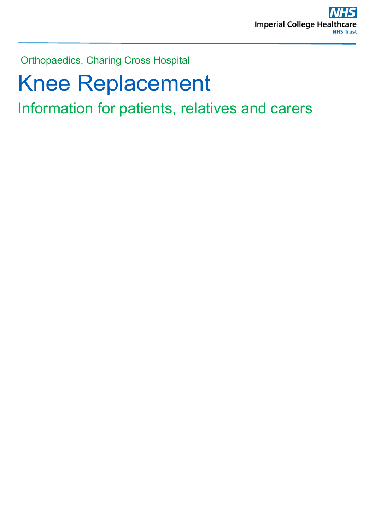Orthopaedics, Charing Cross Hospital

# Knee Replacement

Information for patients, relatives and carers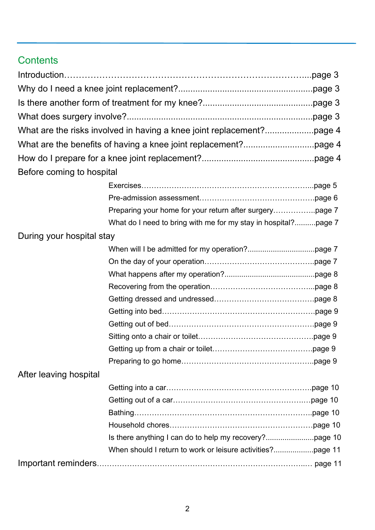# **Contents**

| Before coming to hospital |                                                                |  |
|---------------------------|----------------------------------------------------------------|--|
|                           |                                                                |  |
|                           |                                                                |  |
|                           |                                                                |  |
|                           | What do I need to bring with me for my stay in hospital?page 7 |  |
| During your hospital stay |                                                                |  |
|                           |                                                                |  |
|                           |                                                                |  |
|                           |                                                                |  |
|                           |                                                                |  |
|                           |                                                                |  |
|                           |                                                                |  |
|                           |                                                                |  |
|                           |                                                                |  |
|                           |                                                                |  |
|                           |                                                                |  |
| After leaving hospital    |                                                                |  |
|                           |                                                                |  |
|                           |                                                                |  |
|                           |                                                                |  |
|                           |                                                                |  |
|                           |                                                                |  |
|                           |                                                                |  |
|                           |                                                                |  |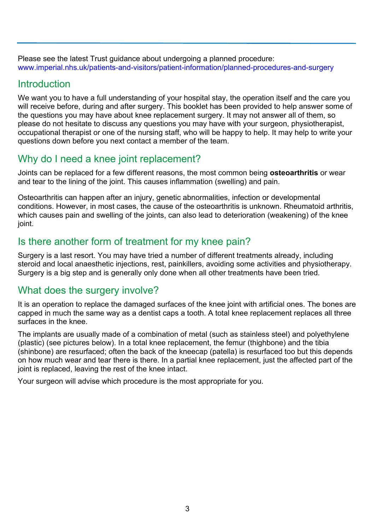Please see the latest Trust guidance about undergoing a planned procedure: [www.imperial.nhs.uk/patients-and-visitors/patient-information/planned-procedures-and-surgery](http://www.imperial.nhs.uk/patients-and-visitors/patient-information/planned-procedures-and-surgery)

#### **Introduction**

We want you to have a full understanding of your hospital stay, the operation itself and the care you will receive before, during and after surgery. This booklet has been provided to help answer some of the questions you may have about knee replacement surgery. It may not answer all of them, so please do not hesitate to discuss any questions you may have with your surgeon, physiotherapist, occupational therapist or one of the nursing staff, who will be happy to help. It may help to write your questions down before you next contact a member of the team.

# Why do I need a knee joint replacement?

Joints can be replaced for a few different reasons, the most common being **osteoarthritis** or wear and tear to the lining of the joint. This causes inflammation (swelling) and pain.

Osteoarthritis can happen after an injury, genetic abnormalities, infection or developmental conditions. However, in most cases, the cause of the osteoarthritis is unknown. Rheumatoid arthritis, which causes pain and swelling of the joints, can also lead to deterioration (weakening) of the knee joint.

# Is there another form of treatment for my knee pain?

Surgery is a last resort. You may have tried a number of different treatments already, including steroid and local anaesthetic injections, rest, painkillers, avoiding some activities and physiotherapy. Surgery is a big step and is generally only done when all other treatments have been tried.

# What does the surgery involve?

It is an operation to replace the damaged surfaces of the knee joint with artificial ones. The bones are capped in much the same way as a dentist caps a tooth. A total knee replacement replaces all three surfaces in the knee.

The implants are usually made of a combination of metal (such as stainless steel) and polyethylene (plastic) (see pictures below). In a total knee replacement, the femur (thighbone) and the tibia (shinbone) are resurfaced; often the back of the kneecap (patella) is resurfaced too but this depends on how much wear and tear there is there. In a partial knee replacement, just the affected part of the joint is replaced, leaving the rest of the knee intact.

Your surgeon will advise which procedure is the most appropriate for you.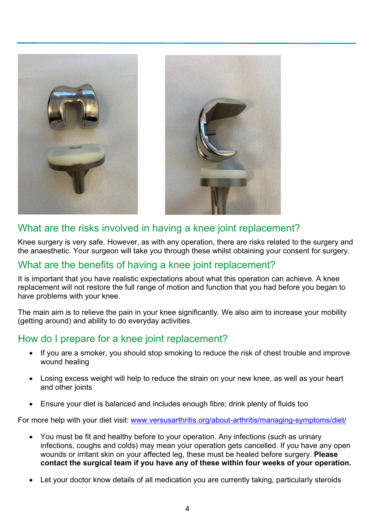

# What are the risks involved in having a knee joint replacement?

Knee surgery is very safe. However, as with any operation, there are risks related to the surgery and the anaesthetic. Your surgeon will take you through these whilst obtaining your consent for surgery.

#### What are the benefits of having a knee joint replacement?

It is important that you have realistic expectations about what this operation can achieve. A knee replacement will not restore the full range of motion and function that you had before you began to have problems with your knee.

The main aim is to relieve the pain in your knee significantly. We also aim to increase your mobility (getting around) and ability to do everyday activities.

# How do I prepare for a knee joint replacement?

- If you are a smoker, you should stop smoking to reduce the risk of chest trouble and improve wound healing
- Losing excess weight will help to reduce the strain on your new knee, as well as your heart and other joints
- Ensure your diet is balanced and includes enough fibre; drink plenty of fluids too

For more help with your diet visit: www.versusarthritis.org/about-arthritis/managing-symptoms/diet/

- You must be fit and healthy before to your operation. Any infections (such as urinary infections, coughs and colds) may mean your operation gets cancelled. If you have any open wounds or irritant skin on your affected leg, these must be healed before surgery. **Please contact the surgical team if you have any of these within four weeks of your operation.**
- Let your doctor know details of all medication you are currently taking, particularly steroids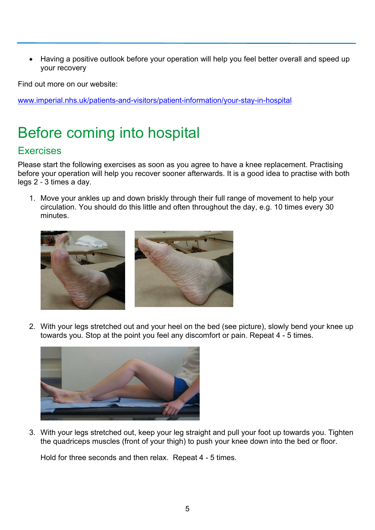• Having a positive outlook before your operation will help you feel better overall and speed up your recovery

Find out more on our website:

www.imperial.nhs.uk/patients-and-visitors/patient-information/your-stay-in-hospital

# Before coming into hospital

# **Exercises**

Please start the following exercises as soon as you agree to have a knee replacement. Practising before your operation will help you recover sooner afterwards. It is a good idea to practise with both legs 2 - 3 times a day.

1. Move your ankles up and down briskly through their full range of movement to help your circulation. You should do this little and often throughout the day, e.g. 10 times every 30 minutes.



2. With your legs stretched out and your heel on the bed (see picture), slowly bend your knee up towards you. Stop at the point you feel any discomfort or pain. Repeat 4 - 5 times.



3. With your legs stretched out, keep your leg straight and pull your foot up towards you. Tighten the quadriceps muscles (front of your thigh) to push your knee down into the bed or floor.

Hold for three seconds and then relax. Repeat 4 - 5 times.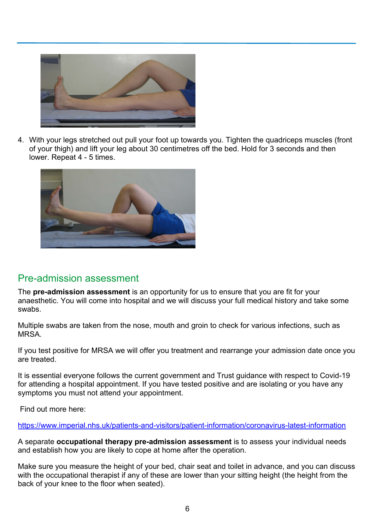

4. With your legs stretched out pull your foot up towards you. Tighten the quadriceps muscles (front of your thigh) and lift your leg about 30 centimetres off the bed. Hold for 3 seconds and then lower. Repeat 4 - 5 times.



#### Pre-admission assessment

The **pre-admission assessment** is an opportunity for us to ensure that you are fit for your anaesthetic. You will come into hospital and we will discuss your full medical history and take some swabs.

Multiple swabs are taken from the nose, mouth and groin to check for various infections, such as MRSA.

If you test positive for MRSA we will offer you treatment and rearrange your admission date once you are treated.

It is essential everyone follows the current government and Trust guidance with respect to Covid-19 for attending a hospital appointment. If you have tested positive and are isolating or you have any symptoms you must not attend your appointment.

Find out more here:

<https://www.imperial.nhs.uk/patients-and-visitors/patient-information/coronavirus-latest-information>

A separate **occupational therapy pre-admission assessment** is to assess your individual needs and establish how you are likely to cope at home after the operation.

Make sure you measure the height of your bed, chair seat and toilet in advance, and you can discuss with the occupational therapist if any of these are lower than your sitting height (the height from the back of your knee to the floor when seated).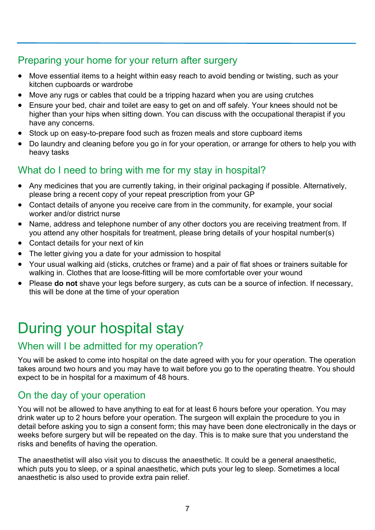# Preparing your home for your return after surgery

- Move essential items to a height within easy reach to avoid bending or twisting, such as your kitchen cupboards or wardrobe
- Move any rugs or cables that could be a tripping hazard when you are using crutches
- Ensure your bed, chair and toilet are easy to get on and off safely. Your knees should not be higher than your hips when sitting down. You can discuss with the occupational therapist if you have any concerns.
- Stock up on easy-to-prepare food such as frozen meals and store cupboard items
- Do laundry and cleaning before you go in for your operation, or arrange for others to help you with heavy tasks

# What do I need to bring with me for my stay in hospital?

- Any medicines that you are currently taking, in their original packaging if possible. Alternatively, please bring a recent copy of your repeat prescription from your GP
- Contact details of anyone you receive care from in the community, for example, your social worker and/or district nurse
- Name, address and telephone number of any other doctors you are receiving treatment from. If you attend any other hospitals for treatment, please bring details of your hospital number(s)
- Contact details for your next of kin
- The letter giving you a date for your admission to hospital
- Your usual walking aid (sticks, crutches or frame) and a pair of flat shoes or trainers suitable for walking in. Clothes that are loose-fitting will be more comfortable over your wound
- Please **do not** shave your legs before surgery, as cuts can be a source of infection. If necessary, this will be done at the time of your operation

# During your hospital stay

# When will I be admitted for my operation?

You will be asked to come into hospital on the date agreed with you for your operation. The operation takes around two hours and you may have to wait before you go to the operating theatre. You should expect to be in hospital for a maximum of 48 hours.

# On the day of your operation

You will not be allowed to have anything to eat for at least 6 hours before your operation. You may drink water up to 2 hours before your operation. The surgeon will explain the procedure to you in detail before asking you to sign a consent form; this may have been done electronically in the days or weeks before surgery but will be repeated on the day. This is to make sure that you understand the risks and benefits of having the operation.

The anaesthetist will also visit you to discuss the anaesthetic. It could be a general anaesthetic, which puts you to sleep, or a spinal anaesthetic, which puts your leg to sleep. Sometimes a local anaesthetic is also used to provide extra pain relief.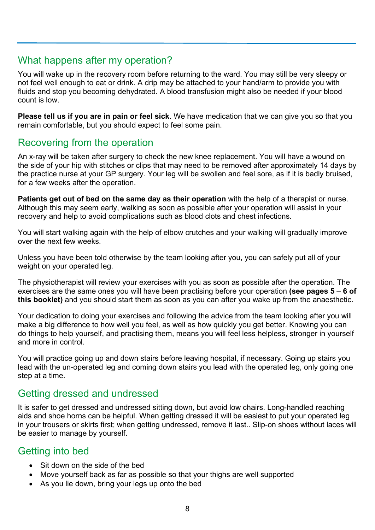#### What happens after my operation?

You will wake up in the recovery room before returning to the ward. You may still be very sleepy or not feel well enough to eat or drink. A drip may be attached to your hand/arm to provide you with fluids and stop you becoming dehydrated. A blood transfusion might also be needed if your blood count is low.

**Please tell us if you are in pain or feel sick**. We have medication that we can give you so that you remain comfortable, but you should expect to feel some pain.

# Recovering from the operation

An x-ray will be taken after surgery to check the new knee replacement. You will have a wound on the side of your hip with stitches or clips that may need to be removed after approximately 14 days by the practice nurse at your GP surgery. Your leg will be swollen and feel sore, as if it is badly bruised, for a few weeks after the operation.

**Patients get out of bed on the same day as their operation** with the help of a therapist or nurse. Although this may seem early, walking as soon as possible after your operation will assist in your recovery and help to avoid complications such as blood clots and chest infections.

You will start walking again with the help of elbow crutches and your walking will gradually improve over the next few weeks.

Unless you have been told otherwise by the team looking after you, you can safely put all of your weight on your operated leg.

The physiotherapist will review your exercises with you as soon as possible after the operation. The exercises are the same ones you will have been practising before your operation **(see pages 5** – **6 of this booklet)** and you should start them as soon as you can after you wake up from the anaesthetic.

Your dedication to doing your exercises and following the advice from the team looking after you will make a big difference to how well you feel, as well as how quickly you get better. Knowing you can do things to help yourself, and practising them, means you will feel less helpless, stronger in yourself and more in control.

You will practice going up and down stairs before leaving hospital, if necessary. Going up stairs you lead with the un-operated leg and coming down stairs you lead with the operated leg, only going one step at a time.

#### Getting dressed and undressed

It is safer to get dressed and undressed sitting down, but avoid low chairs. Long-handled reaching aids and shoe horns can be helpful. When getting dressed it will be easiest to put your operated leg in your trousers or skirts first; when getting undressed, remove it last.. Slip-on shoes without laces will be easier to manage by yourself.

# Getting into bed

- Sit down on the side of the bed
- Move yourself back as far as possible so that your thighs are well supported
- As you lie down, bring your legs up onto the bed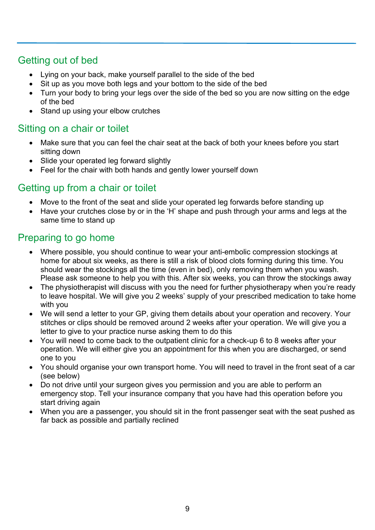# Getting out of bed

- Lying on your back, make yourself parallel to the side of the bed
- Sit up as you move both legs and your bottom to the side of the bed
- Turn your body to bring your legs over the side of the bed so you are now sitting on the edge of the bed
- Stand up using your elbow crutches

# Sitting on a chair or toilet

- Make sure that you can feel the chair seat at the back of both your knees before you start sitting down
- Slide your operated leg forward slightly
- Feel for the chair with both hands and gently lower yourself down

# Getting up from a chair or toilet

- Move to the front of the seat and slide your operated leg forwards before standing up
- Have your crutches close by or in the 'H' shape and push through your arms and legs at the same time to stand up

# Preparing to go home

- Where possible, you should continue to wear your anti-embolic compression stockings at home for about six weeks, as there is still a risk of blood clots forming during this time. You should wear the stockings all the time (even in bed), only removing them when you wash. Please ask someone to help you with this. After six weeks, you can throw the stockings away
- The physiotherapist will discuss with you the need for further physiotherapy when you're ready to leave hospital. We will give you 2 weeks' supply of your prescribed medication to take home with you
- We will send a letter to your GP, giving them details about your operation and recovery. Your stitches or clips should be removed around 2 weeks after your operation. We will give you a letter to give to your practice nurse asking them to do this
- You will need to come back to the outpatient clinic for a check-up 6 to 8 weeks after your operation. We will either give you an appointment for this when you are discharged, or send one to you
- You should organise your own transport home. You will need to travel in the front seat of a car (see below)
- Do not drive until your surgeon gives you permission and you are able to perform an emergency stop. Tell your insurance company that you have had this operation before you start driving again
- When you are a passenger, you should sit in the front passenger seat with the seat pushed as far back as possible and partially reclined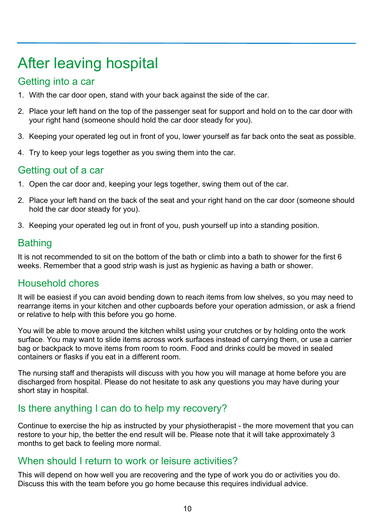# After leaving hospital

#### Getting into a car

- 1. With the car door open, stand with your back against the side of the car.
- 2. Place your left hand on the top of the passenger seat for support and hold on to the car door with your right hand (someone should hold the car door steady for you).
- 3. Keeping your operated leg out in front of you, lower yourself as far back onto the seat as possible.
- 4. Try to keep your legs together as you swing them into the car.

# Getting out of a car

- 1. Open the car door and, keeping your legs together, swing them out of the car.
- 2. Place your left hand on the back of the seat and your right hand on the car door (someone should hold the car door steady for you).
- 3. Keeping your operated leg out in front of you, push yourself up into a standing position.

# Bathing

It is not recommended to sit on the bottom of the bath or climb into a bath to shower for the first 6 weeks. Remember that a good strip wash is just as hygienic as having a bath or shower.

# Household chores

It will be easiest if you can avoid bending down to reach items from low shelves, so you may need to rearrange items in your kitchen and other cupboards before your operation admission, or ask a friend or relative to help with this before you go home.

You will be able to move around the kitchen whilst using your crutches or by holding onto the work surface. You may want to slide items across work surfaces instead of carrying them, or use a carrier bag or backpack to move items from room to room. Food and drinks could be moved in sealed containers or flasks if you eat in a different room.

The nursing staff and therapists will discuss with you how you will manage at home before you are discharged from hospital. Please do not hesitate to ask any questions you may have during your short stay in hospital.

# Is there anything I can do to help my recovery?

Continue to exercise the hip as instructed by your physiotherapist - the more movement that you can restore to your hip, the better the end result will be. Please note that it will take approximately 3 months to get back to feeling more normal.

#### When should I return to work or leisure activities?

This will depend on how well you are recovering and the type of work you do or activities you do. Discuss this with the team before you go home because this requires individual advice.